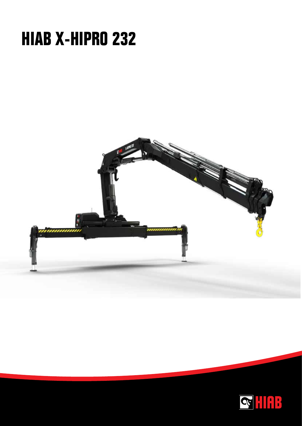## **HIAB X-HIPRO 232**



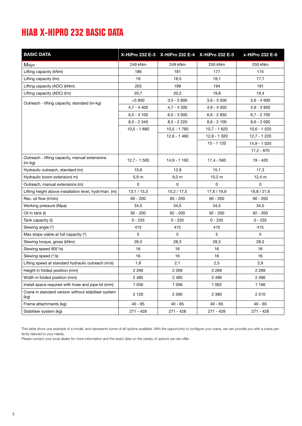## **HIAB X-HIPRO 232 BASIC DATA**

| <b>BASIC DATA</b>                                           |                  | X-HiPro 232 E-3 X-HiPro 232 E-4 X-HiPro 232 E-5 |               | x-HiPro 232 E-6 |
|-------------------------------------------------------------|------------------|-------------------------------------------------|---------------|-----------------|
| Mdyn                                                        | 249 kNm          | 249 kNm                                         | 250 kNm       | 250 kNm         |
| Lifting capacity (kNm)                                      | 186              | 181                                             | 177           | 174             |
| Lifting capacity (tm)                                       | 19               | 18,5                                            | 18,1          | 17,7            |
| Lifting capacity (ADC) (kNm)                                | 203              | 199                                             | 194           | 191             |
| Lifting capacity (ADC) (tm)                                 | 20,7             | 20,2                                            | 19,8          | 19,4            |
| Outreach - lifting capacity, standard (m-kg)                | $<$ 5 900        | $3,5 - 5800$                                    | $3,6 - 5500$  | $3.6 - 4900$    |
|                                                             | $4,7 - 4400$     | $4,7 - 4300$                                    | $4.9 - 4050$  | $4,9 - 3950$    |
|                                                             | $6,5 - 3100$     | $6,5 - 3000$                                    | $6.6 - 2.850$ | $6,7 - 2700$    |
|                                                             | $8,5 - 2340$     | $8,5 - 2220$                                    | $8,6 - 2 100$ | $8,6 - 2000$    |
|                                                             | $10,5 - 1880$    | $10,5 - 1760$                                   | $10,7 - 1620$ | $10,6 - 1520$   |
|                                                             |                  | $12,6 - 1460$                                   | $12,8 - 1320$ | 12,7 - 1 220    |
|                                                             |                  |                                                 | $15 - 1120$   | $14,9 - 1020$   |
|                                                             |                  |                                                 |               | $17,2 - 870$    |
| Outreach - lifting capacity, manual extensions<br>$(m-kg)$  | $12,7 - 1500$    | $14,9 - 1160$                                   | $17,4 - 560$  | 19 - 420        |
| Hydraulic outreach, standard (m)                            | 10,6             | 12,8                                            | 15,1          | 17,3            |
| Hydraulic boom extension(m)                                 | 5.9 <sub>m</sub> | 8,0 m                                           | 10,2 m        | 12,4 $m$        |
| Outreach, manual extensions (m)                             | 0                | 0                                               | 0             | 0               |
| Lifting height above installation level, hydr/man. (m)      | 13,1/15,3        | 15,2/17,5                                       | 17,6 / 19,9   | 19,8 / 21,6     |
| Rec. oil flow (I/min)                                       | $60 - 200$       | $60 - 200$                                      | $60 - 200$    | $60 - 200$      |
| Working pressure (Mpa)                                      | 34,5             | 34,5                                            | 34,5          | 34,5            |
| Oil in tank (I)                                             | $92 - 200$       | $92 - 200$                                      | $92 - 200$    | $92 - 200$      |
| Tank capacity (I)                                           | $0 - 235$        | $0 - 235$                                       | $0 - 235$     | $0 - 235$       |
| Slewing angle (°)                                           | 415              | 415                                             | 415           | 415             |
| Max slope viable at full capacity (°)                       | 5                | 5                                               | 5             | 5               |
| Slewing torque, gross (kNm)                                 | 28,3             | 28,3                                            | 28,3          | 28,3            |
| Slewing speed 80(°/s)                                       | 16               | 16                                              | 16            | 16              |
| Slewing speed (°/s)                                         | 16               | 16                                              | 16            | 16              |
| Lifting speed at standard hydraulic outreach (m/s)          | 1,8              | 2,1                                             | 2,5           | 2,9             |
| Height in folded position (mm)                              | 2 2 6 9          | 2 2 6 9                                         | 2 2 6 9       | 2 2 6 9         |
| Width in folded position (mm)                               | 2 4 8 5          | 2485                                            | 2496          | 2496            |
| Install space required with hose and pipe kit (mm)          | 1 0 5 6          | 1 0 5 6                                         | 1 0 6 2       | 1 1 6 6         |
| Crane in standard version without stabiliser system<br>(kg) | 2 1 2 0          | 2 2 6 0                                         | 2 3 8 0       | 2 5 1 0         |
| Frame attachments (kg)                                      | $40 - 65$        | $40 - 65$                                       | $40 - 65$     | $40 - 65$       |
| Stabiliser system (kg)                                      | 271 - 428        | 271 - 428                                       | 271 - 428     | 271 - 428       |

This table show one example of a model, and represents some of all options available. With the opportunity to configure your crane, we can provide you with a crane perfectly tailored to your needs.

Please contact your local dealer for more information and the exact data on the variety of options we can offer.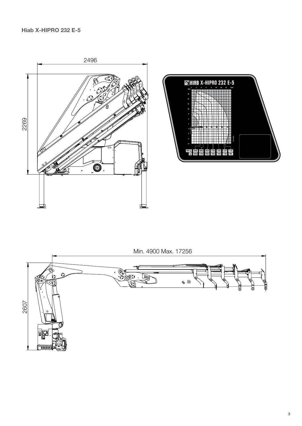



Min. 4900 Max. 17256